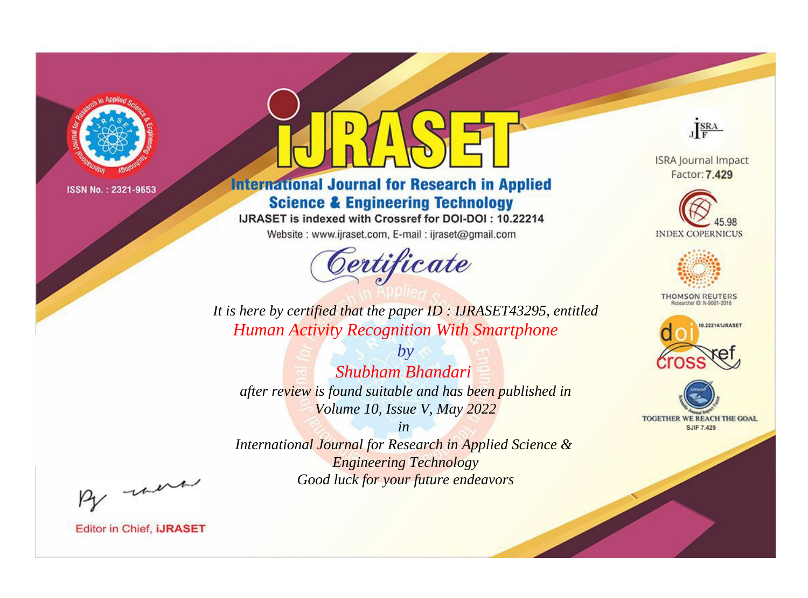

# **International Journal for Research in Applied Science & Engineering Technology**

IJRASET is indexed with Crossref for DOI-DOI: 10.22214

Website: www.ijraset.com, E-mail: ijraset@gmail.com



JERA

**ISRA Journal Impact** Factor: 7.429





**THOMSON REUTERS** 



TOGETHER WE REACH THE GOAL **SJIF 7.429** 

*It is here by certified that the paper ID : IJRASET43295, entitled Human Activity Recognition With Smartphone*

*Shubham Bhandari after review is found suitable and has been published in Volume 10, Issue V, May 2022*

*by*

*in* 

*International Journal for Research in Applied Science & Engineering Technology Good luck for your future endeavors*

By morn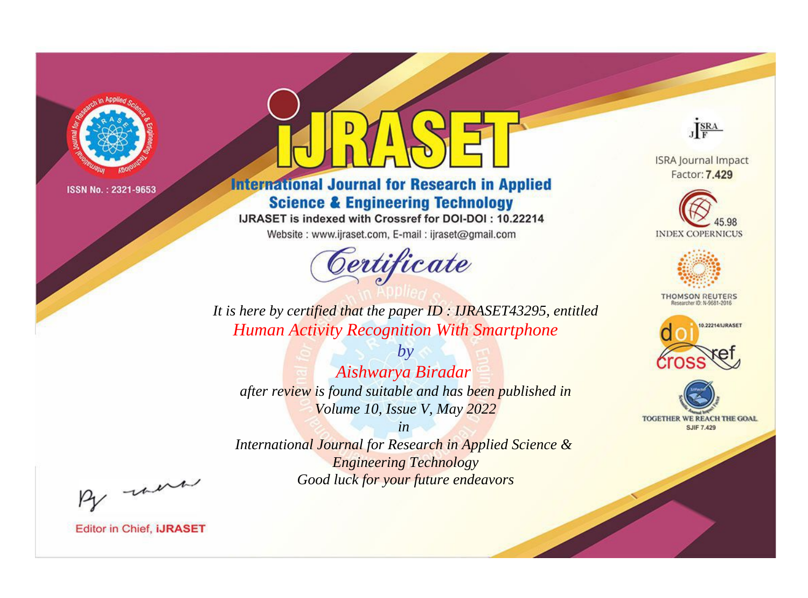

# **International Journal for Research in Applied Science & Engineering Technology**

IJRASET is indexed with Crossref for DOI-DOI: 10.22214

Website: www.ijraset.com, E-mail: ijraset@gmail.com



JERA

**ISRA Journal Impact** Factor: 7.429





**THOMSON REUTERS** 



TOGETHER WE REACH THE GOAL **SJIF 7.429** 

*It is here by certified that the paper ID : IJRASET43295, entitled Human Activity Recognition With Smartphone*

*by Aishwarya Biradar after review is found suitable and has been published in Volume 10, Issue V, May 2022*

*in* 

*International Journal for Research in Applied Science & Engineering Technology Good luck for your future endeavors*

By morn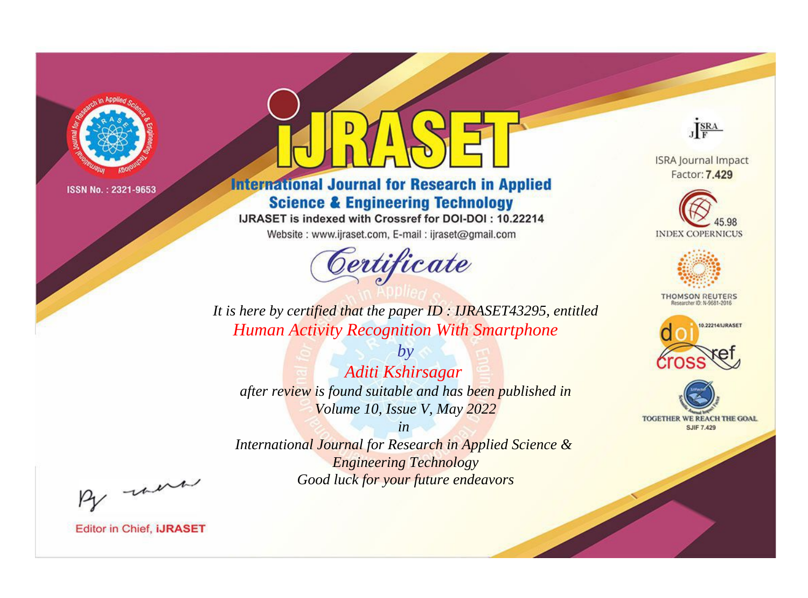

# **International Journal for Research in Applied Science & Engineering Technology**

IJRASET is indexed with Crossref for DOI-DOI: 10.22214

Website: www.ijraset.com, E-mail: ijraset@gmail.com



JERA

**ISRA Journal Impact** Factor: 7.429





**THOMSON REUTERS** 



TOGETHER WE REACH THE GOAL **SJIF 7.429** 

*It is here by certified that the paper ID : IJRASET43295, entitled Human Activity Recognition With Smartphone*

*by Aditi Kshirsagar after review is found suitable and has been published in Volume 10, Issue V, May 2022*

*in* 

*International Journal for Research in Applied Science & Engineering Technology Good luck for your future endeavors*

By morn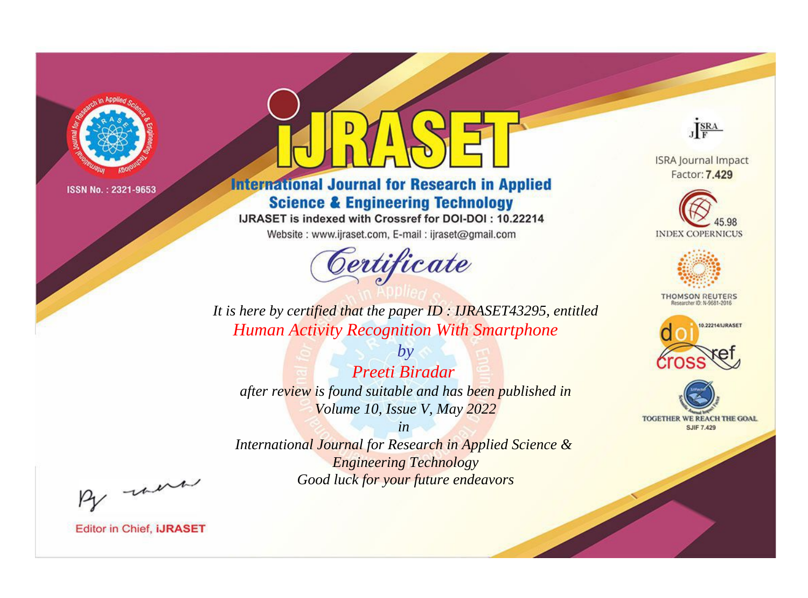

# **International Journal for Research in Applied Science & Engineering Technology**

IJRASET is indexed with Crossref for DOI-DOI: 10.22214

Website: www.ijraset.com, E-mail: ijraset@gmail.com



JERA

**ISRA Journal Impact** Factor: 7.429





**THOMSON REUTERS** 



TOGETHER WE REACH THE GOAL **SJIF 7.429** 

*It is here by certified that the paper ID : IJRASET43295, entitled Human Activity Recognition With Smartphone*

*by Preeti Biradar after review is found suitable and has been published in Volume 10, Issue V, May 2022*

*in* 

*International Journal for Research in Applied Science & Engineering Technology Good luck for your future endeavors*

By morn